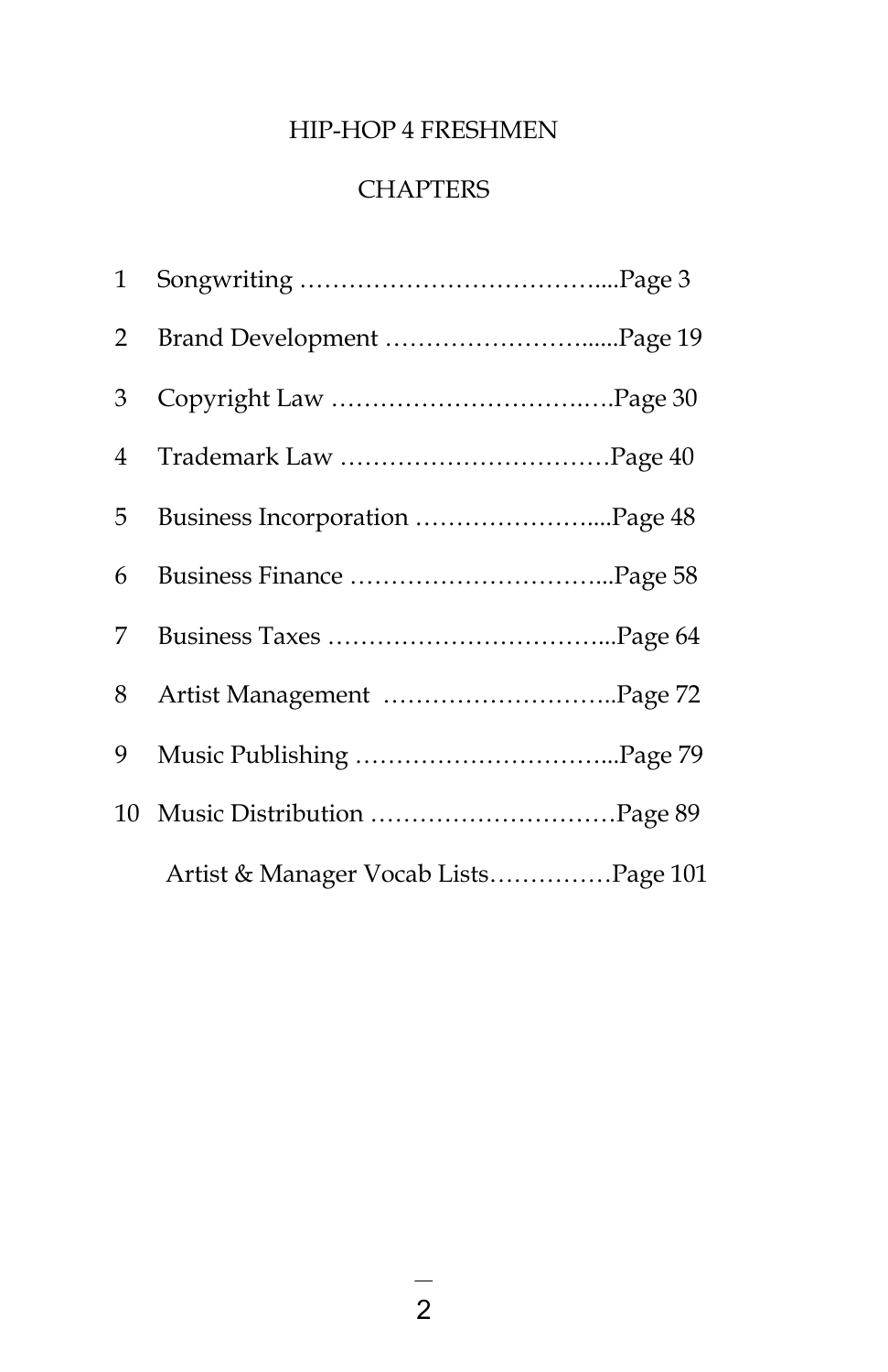### HIP-HOP 4 FRESHMEN

### **CHAPTERS**

| 1              |                                      |  |
|----------------|--------------------------------------|--|
| $\overline{2}$ |                                      |  |
| 3              |                                      |  |
| 4              |                                      |  |
| 5              | Business Incorporation Page 48       |  |
| 6              |                                      |  |
| 7              |                                      |  |
| 8              |                                      |  |
| 9              |                                      |  |
|                |                                      |  |
|                | Artist & Manager Vocab ListsPage 101 |  |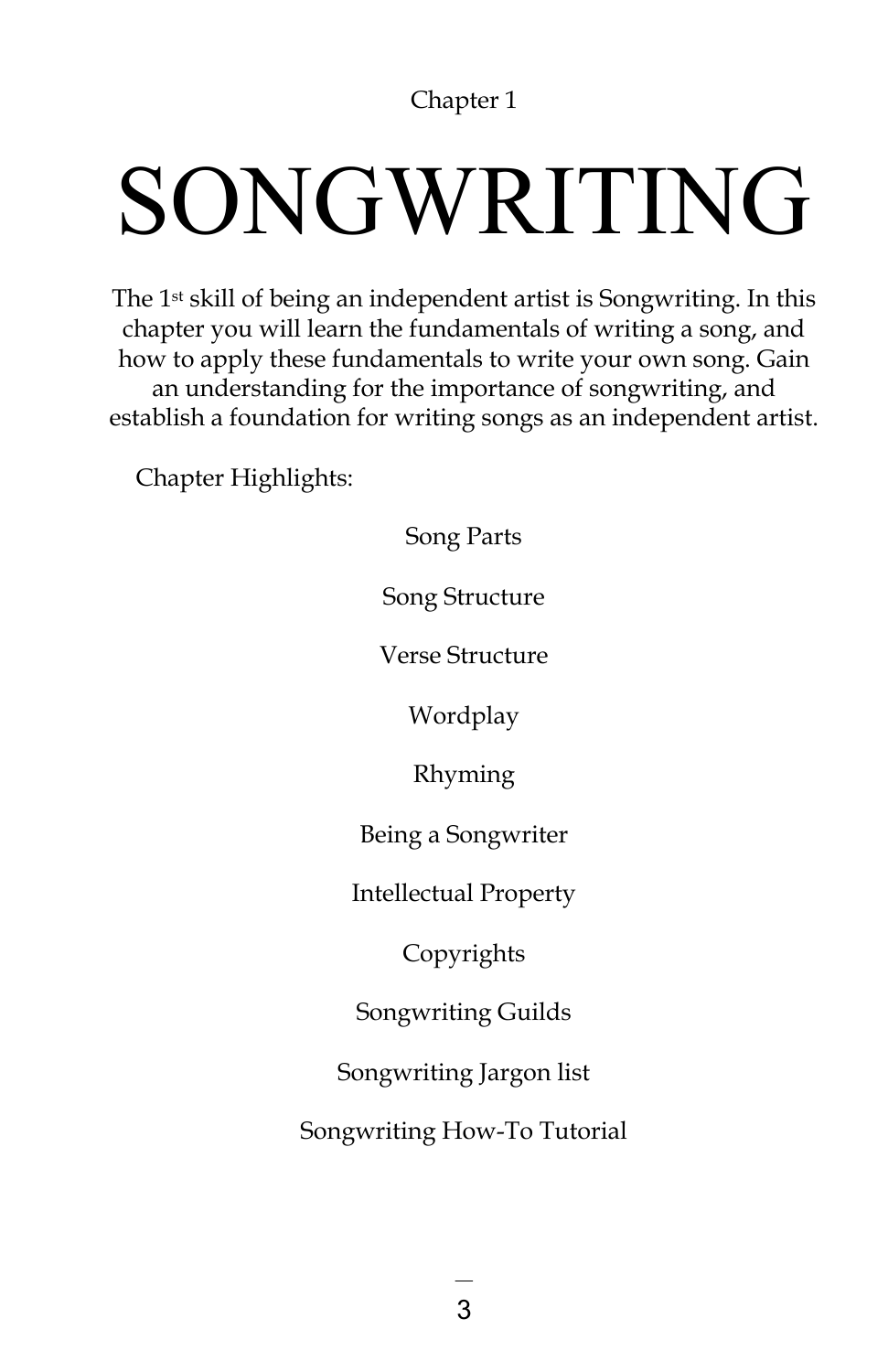## SONGWRITING

The 1st skill of being an independent artist is Songwriting. In this chapter you will learn the fundamentals of writing a song, and how to apply these fundamentals to write your own song. Gain an understanding for the importance of songwriting, and establish a foundation for writing songs as an independent artist.

Chapter Highlights:

Song Parts

Song Structure

Verse Structure

Wordplay

Rhyming

Being a Songwriter

Intellectual Property

Copyrights

Songwriting Guilds

Songwriting Jargon list

Songwriting How-To Tutorial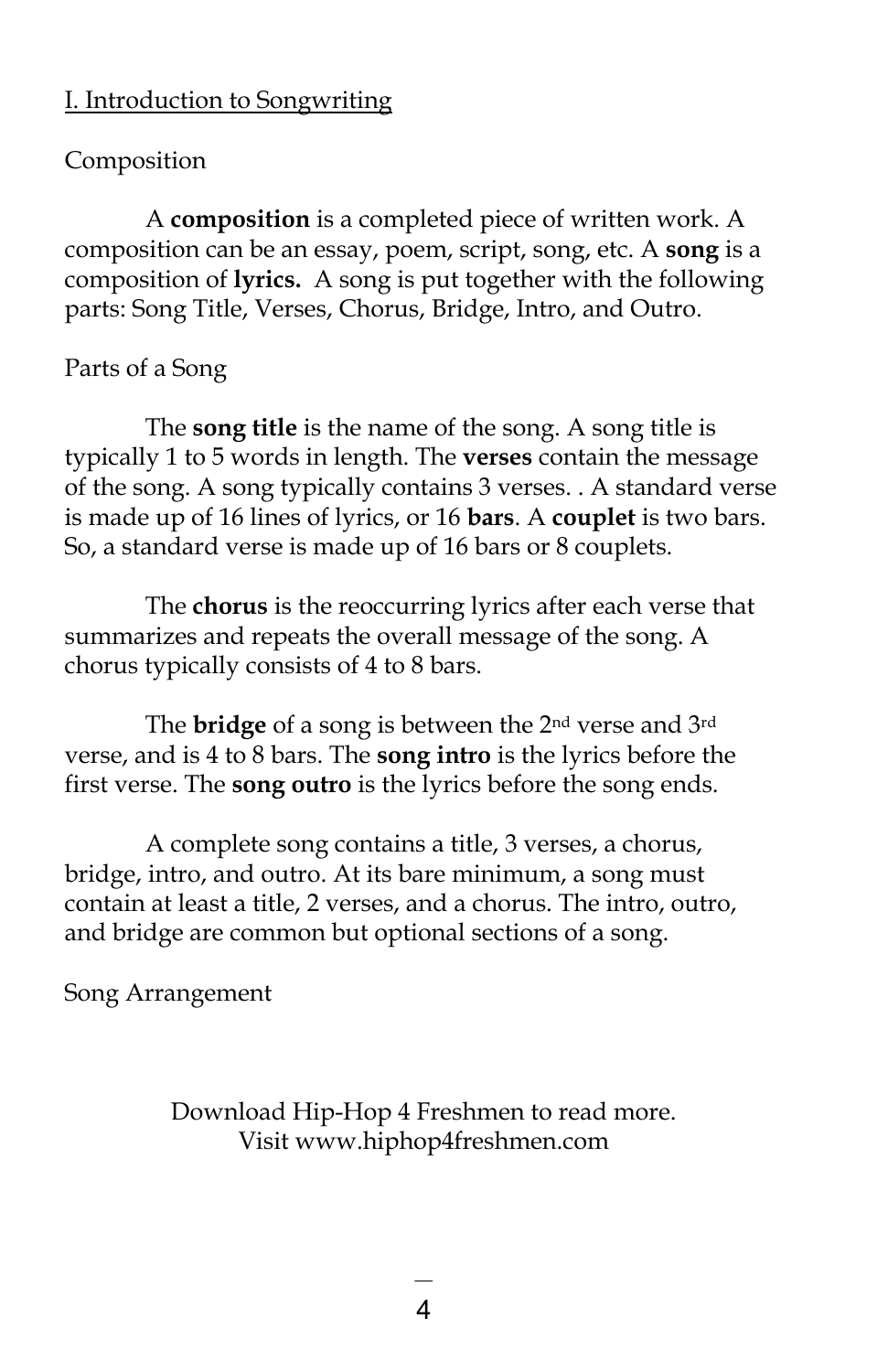### I. Introduction to Songwriting

#### Composition

A **composition** is a completed piece of written work. A composition can be an essay, poem, script, song, etc. A **song** is a composition of **lyrics.** A song is put together with the following parts: Song Title, Verses, Chorus, Bridge, Intro, and Outro.

#### Parts of a Song

The **song title** is the name of the song. A song title is typically 1 to 5 words in length. The **verses** contain the message of the song. A song typically contains 3 verses. . A standard verse is made up of 16 lines of lyrics, or 16 **bars**. A **couplet** is two bars. So, a standard verse is made up of 16 bars or 8 couplets.

The **chorus** is the reoccurring lyrics after each verse that summarizes and repeats the overall message of the song. A chorus typically consists of 4 to 8 bars.

The **bridge** of a song is between the 2nd verse and 3rd verse, and is 4 to 8 bars. The **song intro** is the lyrics before the first verse. The **song outro** is the lyrics before the song ends.

A complete song contains a title, 3 verses, a chorus, bridge, intro, and outro. At its bare minimum, a song must contain at least a title, 2 verses, and a chorus. The intro, outro, and bridge are common but optional sections of a song.

Song Arrangement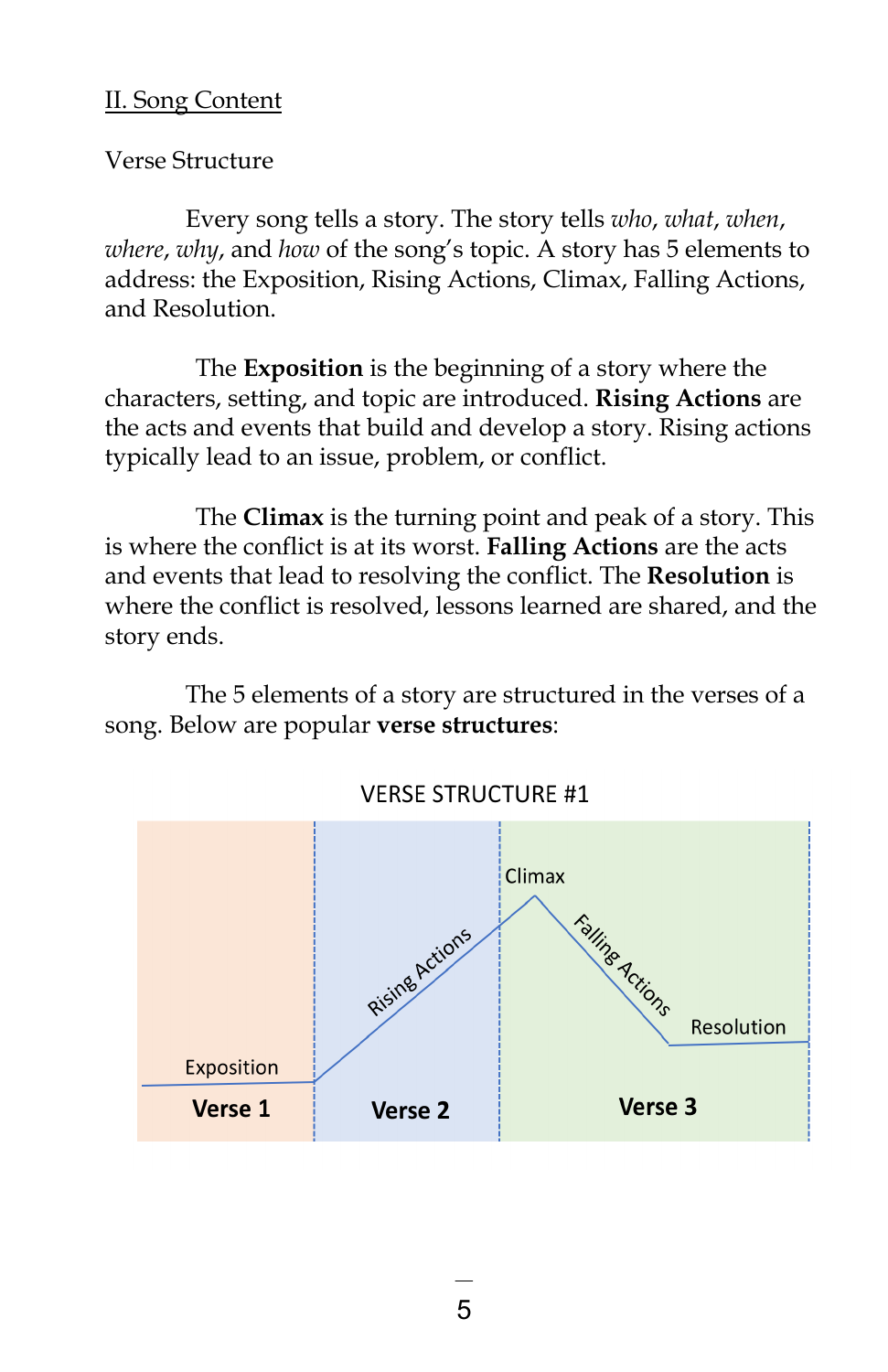### II. Song Content

Verse Structure

Every song tells a story. The story tells *who*, *what*, *when*, *where*, *why*, and *how* of the song's topic. A story has 5 elements to address: the Exposition, Rising Actions, Climax, Falling Actions, and Resolution.

The **Exposition** is the beginning of a story where the characters, setting, and topic are introduced. **Rising Actions** are the acts and events that build and develop a story. Rising actions typically lead to an issue, problem, or conflict.

The **Climax** is the turning point and peak of a story. This is where the conflict is at its worst. **Falling Actions** are the acts and events that lead to resolving the conflict. The **Resolution** is where the conflict is resolved, lessons learned are shared, and the story ends.

The 5 elements of a story are structured in the verses of a song. Below are popular **verse structures**:



**VERSE STRUCTURE #1**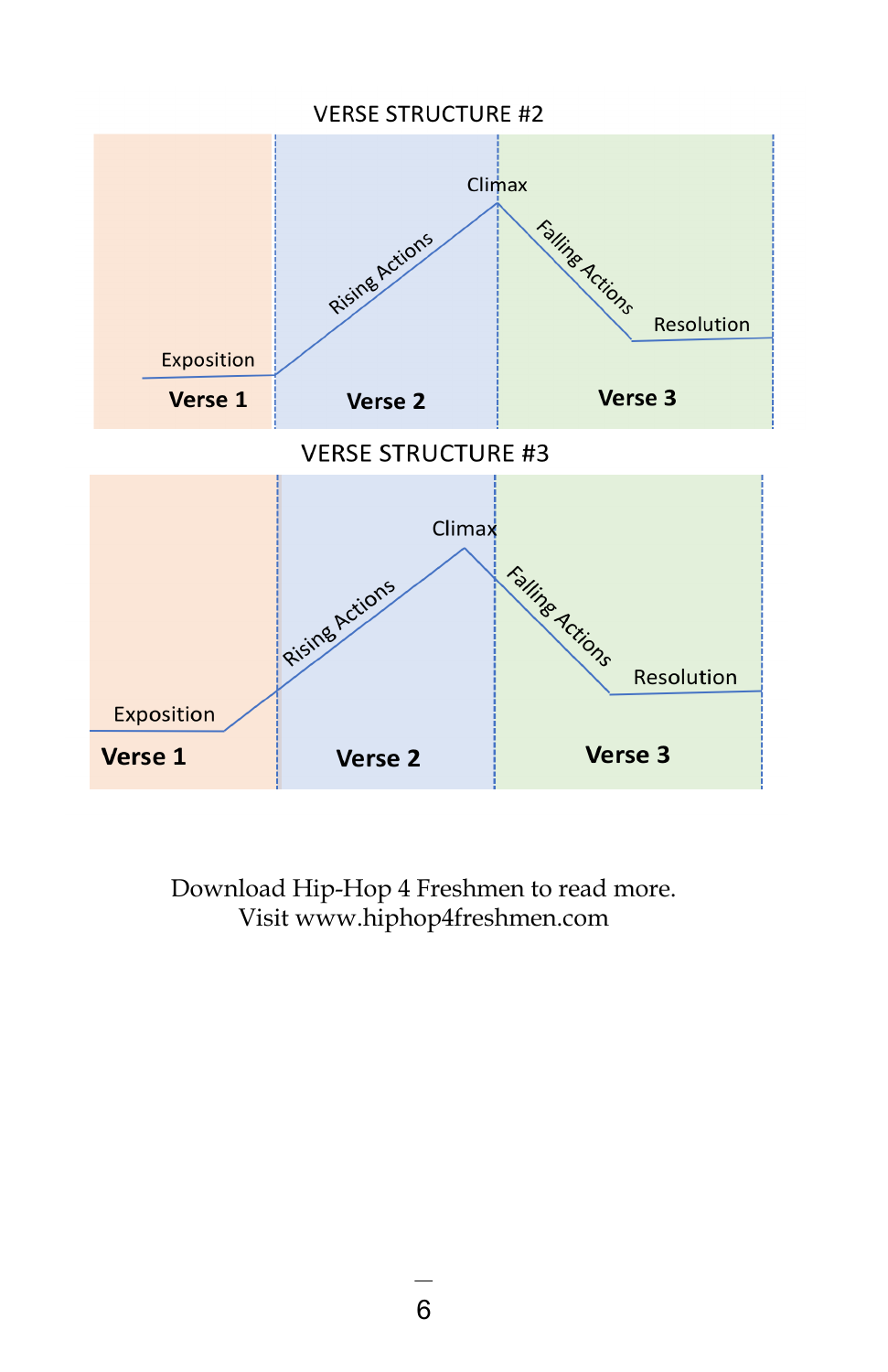### **VERSE STRUCTURE #2** Climax Falling Actions Rising Actions Resolution Exposition Verse 3 Verse 1 Verse<sub>2</sub> **VERSE STRUCTURE #3** Climax Falling Actions Rising Actions Resolution Exposition Verse 3 Verse 1 Verse 2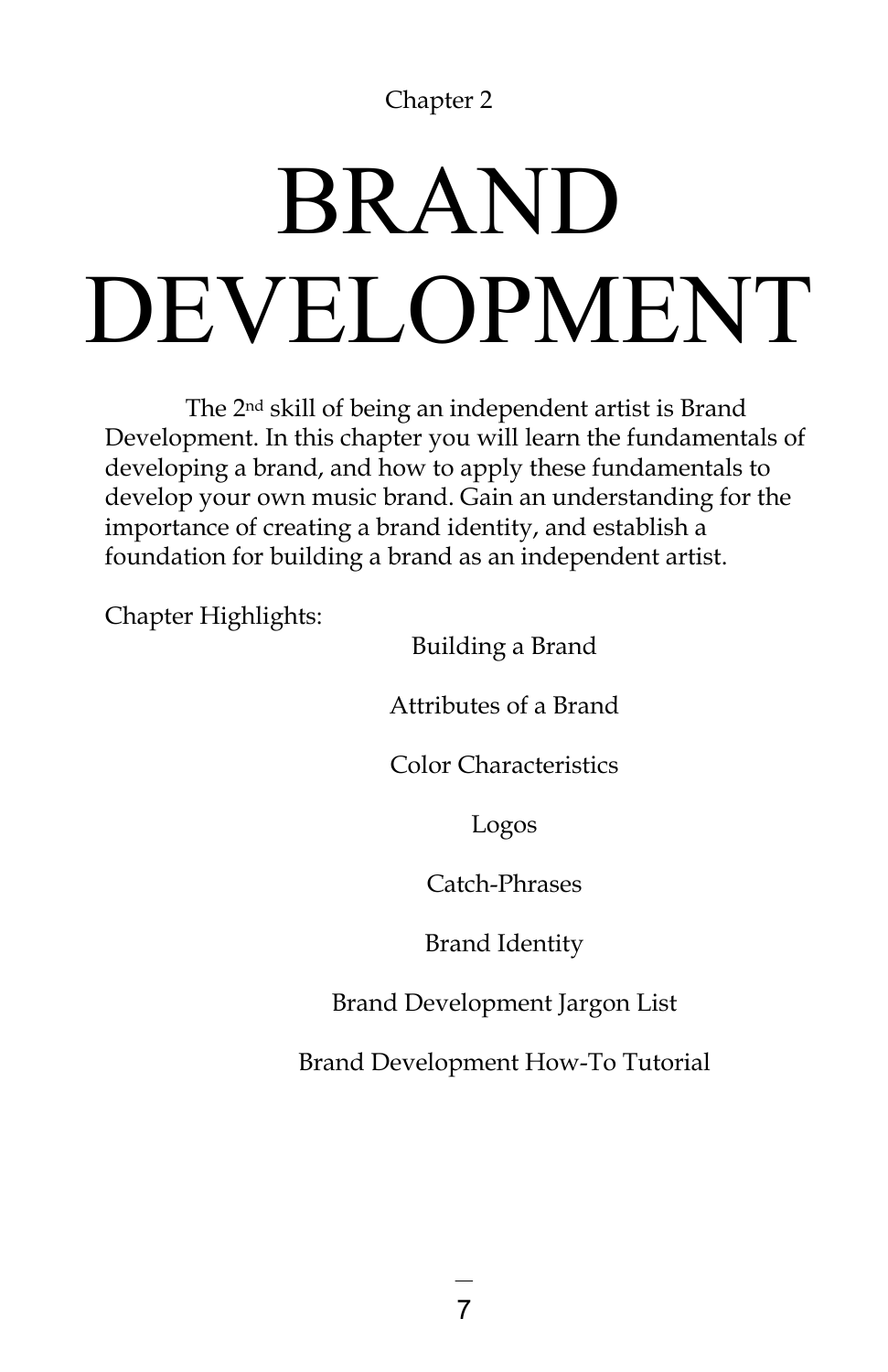## BRAND DEVELOPMENT

The 2nd skill of being an independent artist is Brand Development. In this chapter you will learn the fundamentals of developing a brand, and how to apply these fundamentals to develop your own music brand. Gain an understanding for the importance of creating a brand identity, and establish a foundation for building a brand as an independent artist.

Chapter Highlights:

Building a Brand

Attributes of a Brand

Color Characteristics

Logos

Catch-Phrases

Brand Identity

Brand Development Jargon List

Brand Development How-To Tutorial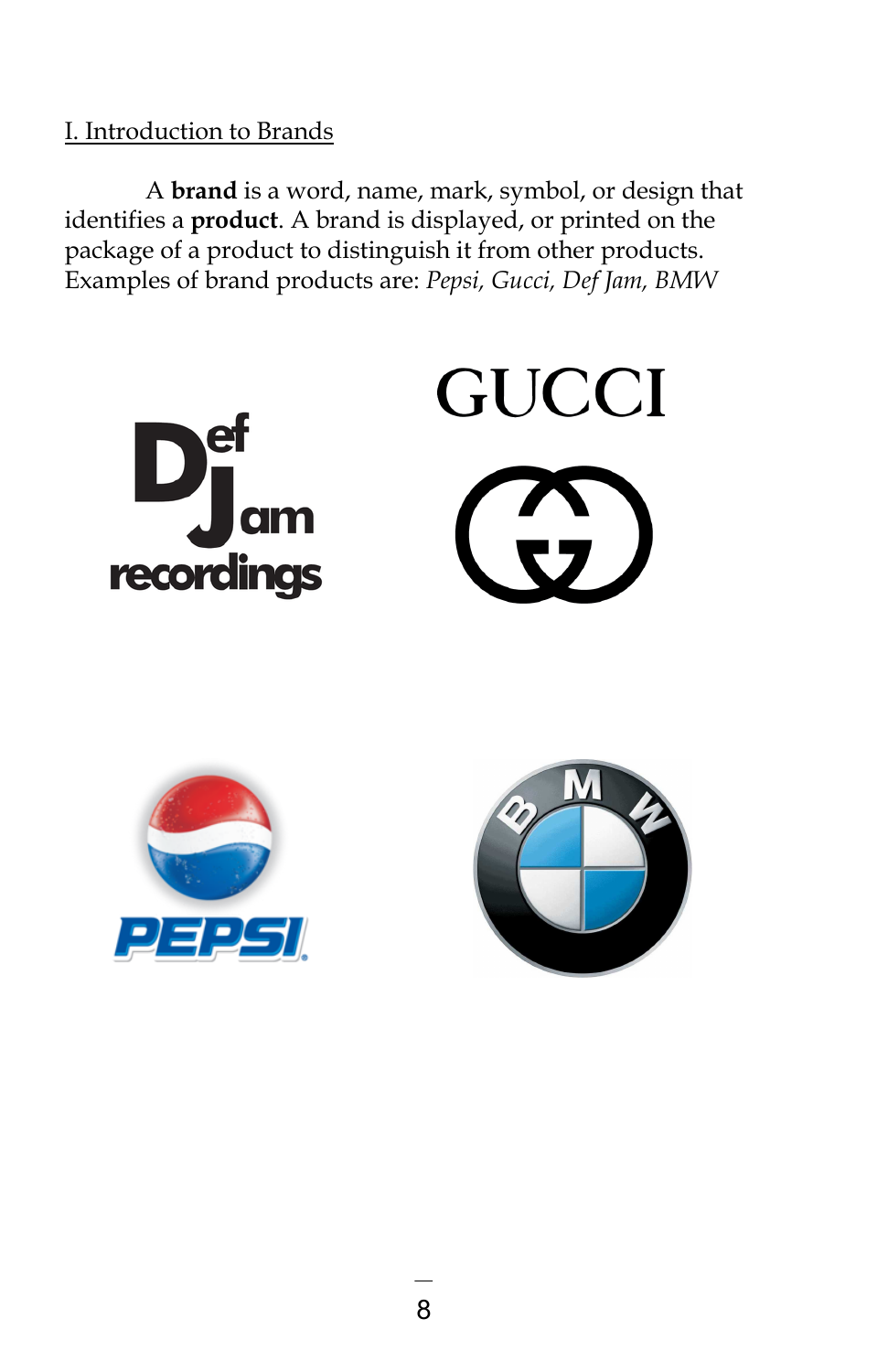### I. Introduction to Brands

A **brand** is a word, name, mark, symbol, or design that identifies a **product**. A brand is displayed, or printed on the package of a product to distinguish it from other products. Examples of brand products are: *Pepsi, Gucci, Def Jam, BMW*





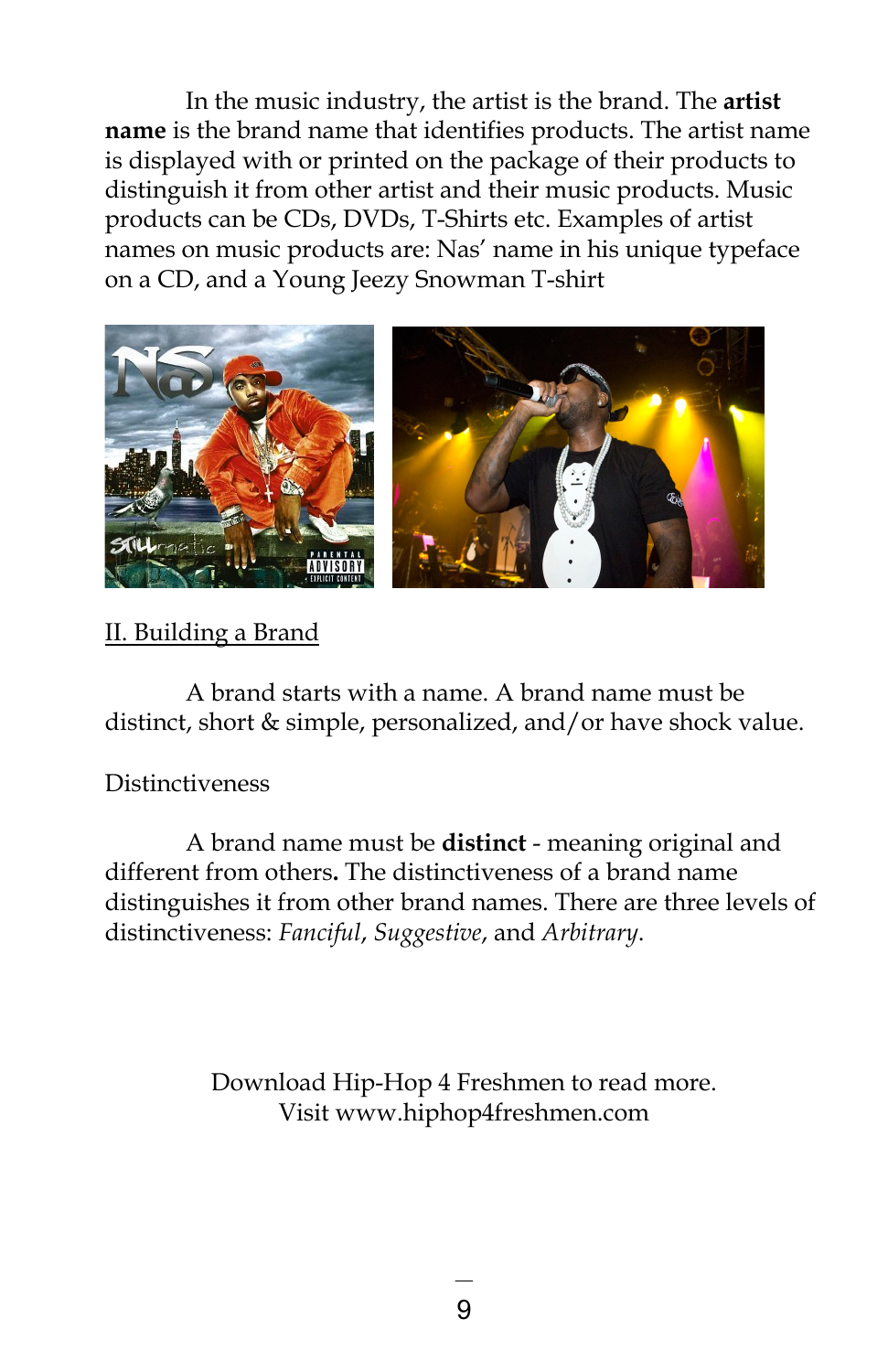In the music industry, the artist is the brand. The **artist name** is the brand name that identifies products. The artist name is displayed with or printed on the package of their products to distinguish it from other artist and their music products. Music products can be CDs, DVDs, T-Shirts etc. Examples of artist names on music products are: Nas' name in his unique typeface on a CD, and a Young Jeezy Snowman T-shirt



### II. Building a Brand

A brand starts with a name. A brand name must be distinct, short & simple, personalized, and/or have shock value.

### Distinctiveness

A brand name must be **distinct** - meaning original and different from others**.** The distinctiveness of a brand name distinguishes it from other brand names. There are three levels of distinctiveness: *Fanciful*, *Suggestive*, and *Arbitrary*.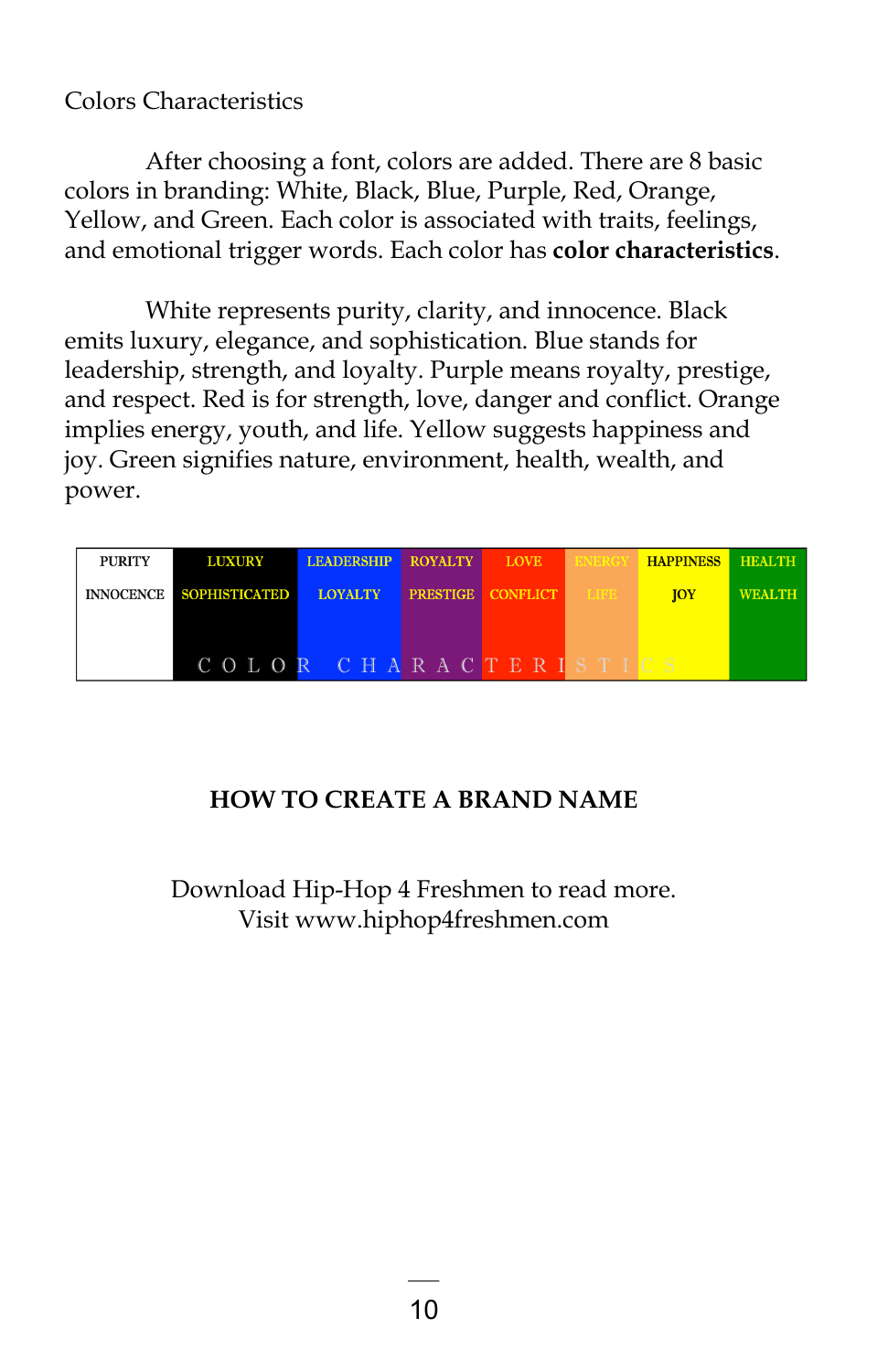### Colors Characteristics

After choosing a font, colors are added. There are 8 basic colors in branding: White, Black, Blue, Purple, Red, Orange, Yellow, and Green. Each color is associated with traits, feelings, and emotional trigger words. Each color has **color characteristics**.

White represents purity, clarity, and innocence. Black emits luxury, elegance, and sophistication. Blue stands for leadership, strength, and loyalty. Purple means royalty, prestige, and respect. Red is for strength, love, danger and conflict. Orange implies energy, youth, and life. Yellow suggests happiness and joy. Green signifies nature, environment, health, wealth, and power.

| <b>PURITY</b> | <b>LUXURY</b>           | <b>LEADERSHIP</b> | <b>ROYALTY</b> | <b>LOVE</b>                   | <b>BNBRGY</b> | <b>HAPPINESS HEALTH</b> |               |
|---------------|-------------------------|-------------------|----------------|-------------------------------|---------------|-------------------------|---------------|
|               | INNOCENCE SOPHISTICATED | <b>LOYALTY</b>    |                | <b>PRESTIGE CONFLICT LIFE</b> |               | <b>TOY</b>              | <b>WEALTH</b> |
|               |                         |                   |                |                               |               |                         |               |
|               |                         |                   |                |                               |               |                         |               |
|               | COLOR CHARACTERISTICS   |                   |                |                               |               |                         |               |

### **HOW TO CREATE A BRAND NAME**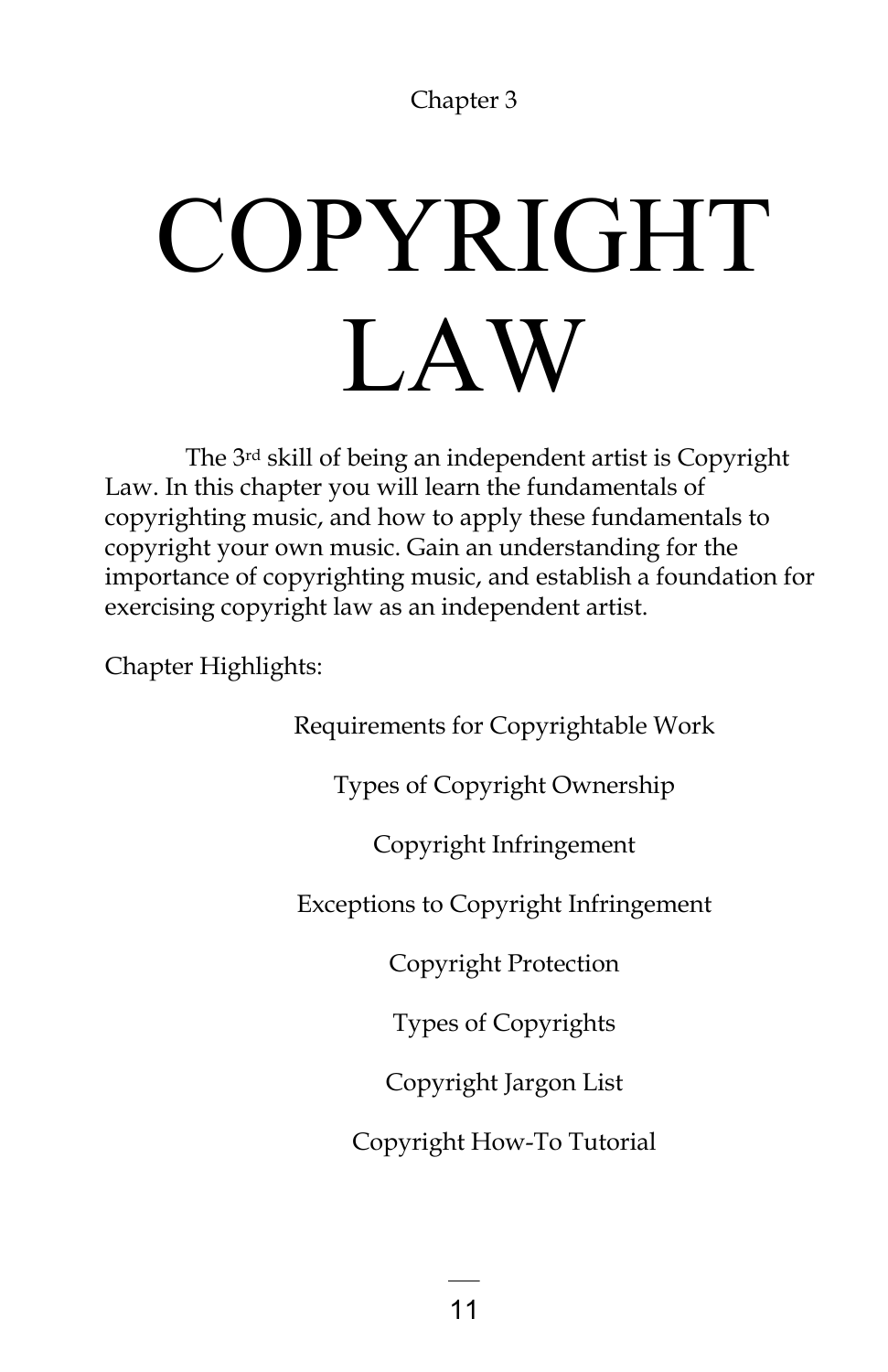# COPYRIGHT LAW

The 3rd skill of being an independent artist is Copyright Law. In this chapter you will learn the fundamentals of copyrighting music, and how to apply these fundamentals to copyright your own music. Gain an understanding for the importance of copyrighting music, and establish a foundation for exercising copyright law as an independent artist.

Chapter Highlights:

Requirements for Copyrightable Work

Types of Copyright Ownership

Copyright Infringement

Exceptions to Copyright Infringement

Copyright Protection

Types of Copyrights

Copyright Jargon List

Copyright How-To Tutorial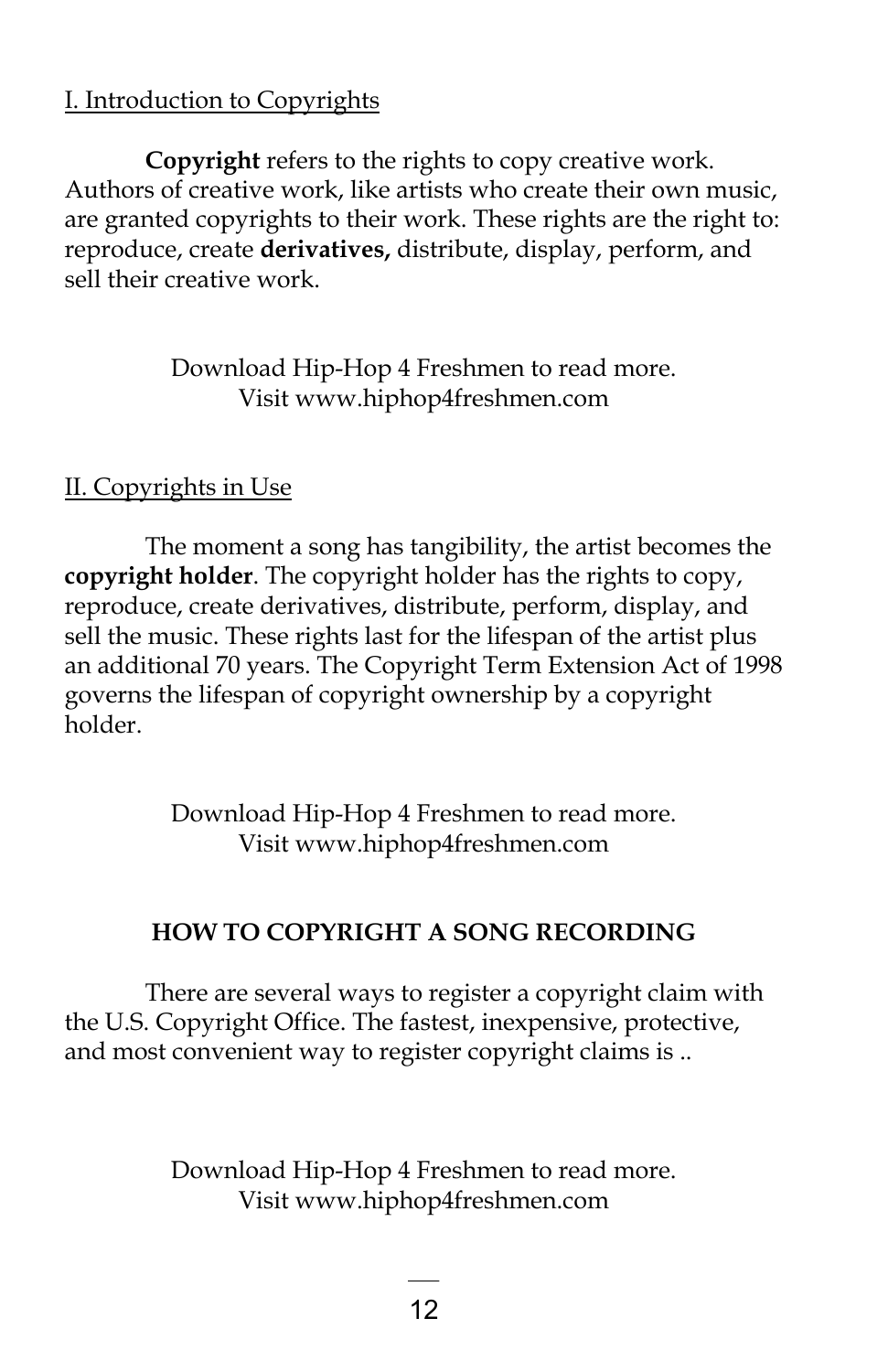### I. Introduction to Copyrights

**Copyright** refers to the rights to copy creative work. Authors of creative work, like artists who create their own music, are granted copyrights to their work. These rights are the right to: reproduce, create **derivatives,** distribute, display, perform, and sell their creative work.

### Download Hip-Hop 4 Freshmen to read more. Visit www.hiphop4freshmen.com

### II. Copyrights in Use

The moment a song has tangibility, the artist becomes the **copyright holder**. The copyright holder has the rights to copy, reproduce, create derivatives, distribute, perform, display, and sell the music. These rights last for the lifespan of the artist plus an additional 70 years. The Copyright Term Extension Act of 1998 governs the lifespan of copyright ownership by a copyright holder.

> Download Hip-Hop 4 Freshmen to read more. Visit www.hiphop4freshmen.com

### **HOW TO COPYRIGHT A SONG RECORDING**

There are several ways to register a copyright claim with the U.S. Copyright Office. The fastest, inexpensive, protective, and most convenient way to register copyright claims is ..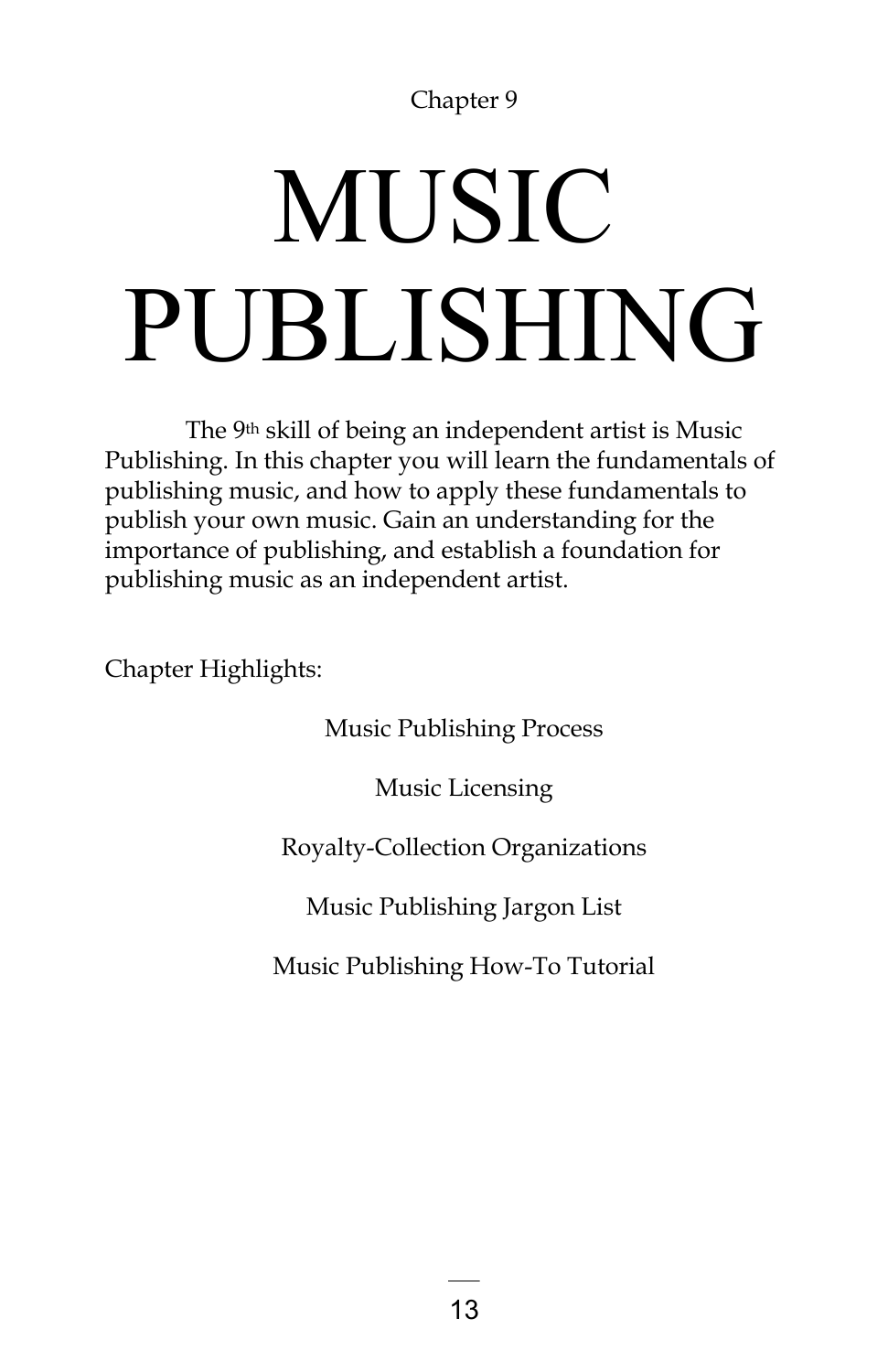# MUSIC PUBLISHING

The 9th skill of being an independent artist is Music Publishing. In this chapter you will learn the fundamentals of publishing music, and how to apply these fundamentals to publish your own music. Gain an understanding for the importance of publishing, and establish a foundation for publishing music as an independent artist.

Chapter Highlights:

Music Publishing Process

Music Licensing

### Royalty-Collection Organizations

Music Publishing Jargon List

Music Publishing How-To Tutorial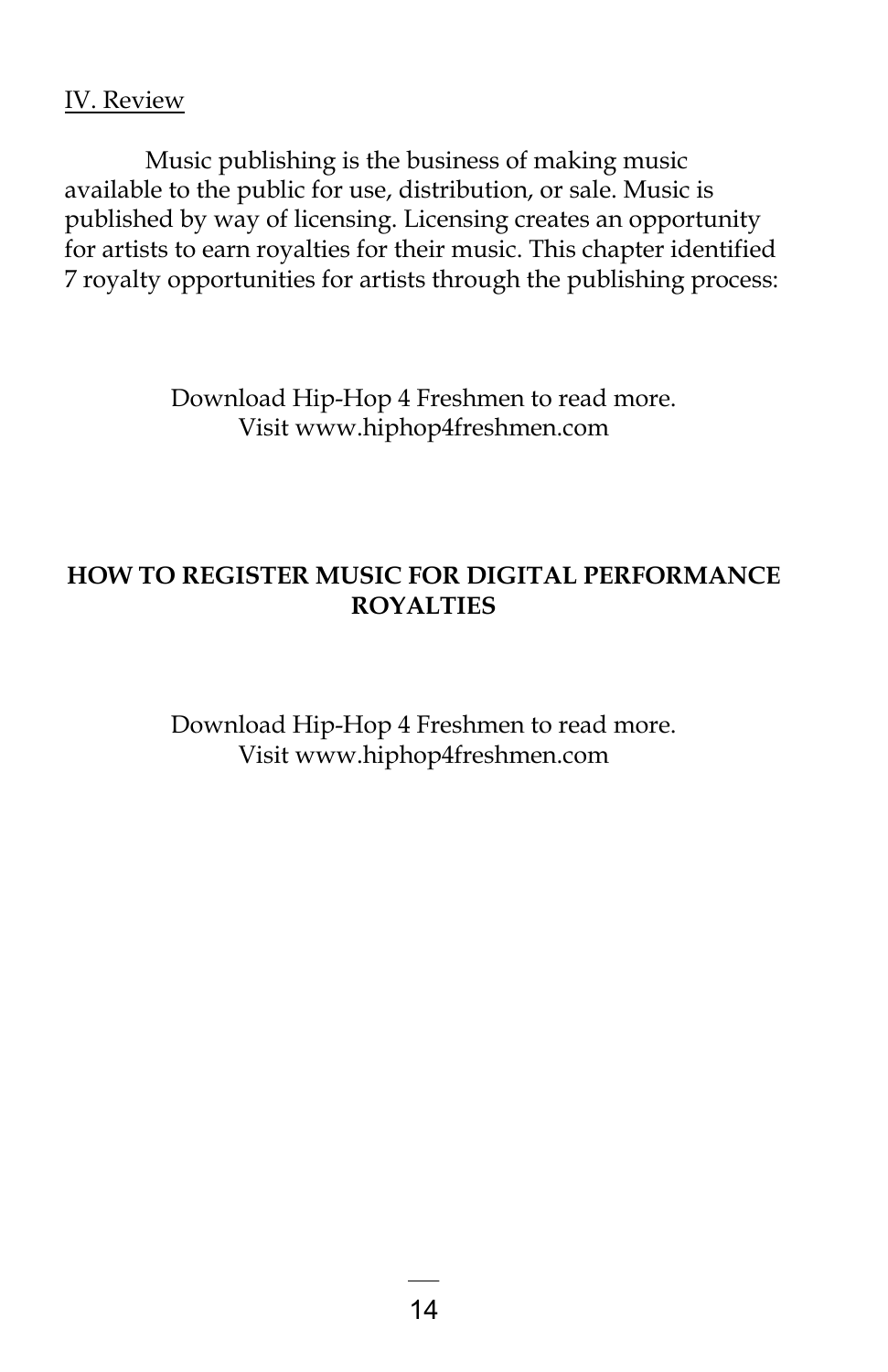### IV. Review

Music publishing is the business of making music available to the public for use, distribution, or sale. Music is published by way of licensing. Licensing creates an opportunity for artists to earn royalties for their music. This chapter identified 7 royalty opportunities for artists through the publishing process:

> Download Hip-Hop 4 Freshmen to read more. Visit www.hiphop4freshmen.com

### **HOW TO REGISTER MUSIC FOR DIGITAL PERFORMANCE ROYALTIES**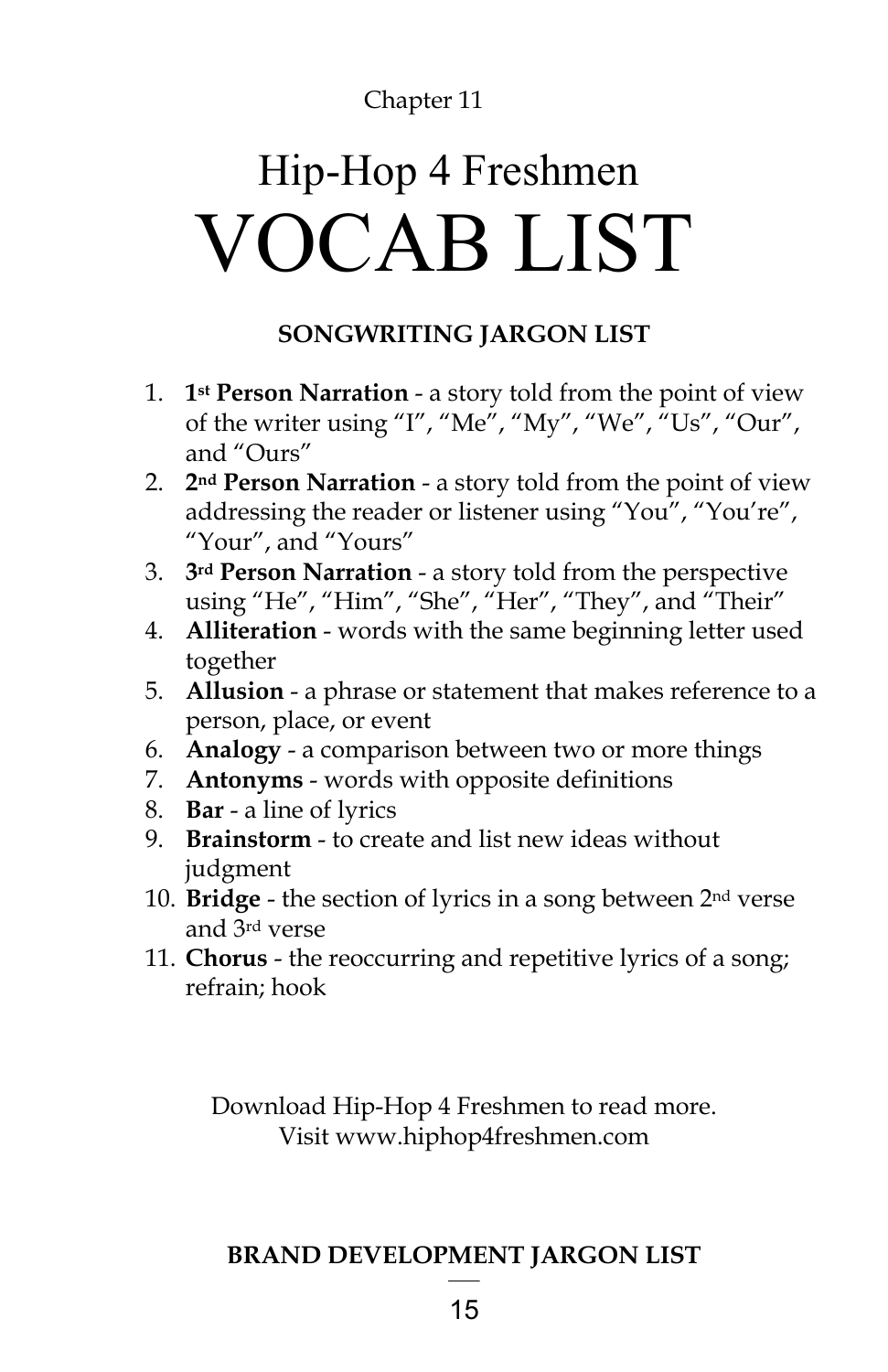### Hip-Hop 4 Freshmen VOCAB LIST

### **SONGWRITING JARGON LIST**

- 1. **1st Person Narration** a story told from the point of view of the writer using "I", "Me", "My", "We", "Us", "Our", and "Ours"
- 2. **2nd Person Narration** a story told from the point of view addressing the reader or listener using "You", "You're", "Your", and "Yours"
- 3. **3rd Person Narration** a story told from the perspective using "He", "Him", "She", "Her", "They", and "Their"
- 4. **Alliteration** words with the same beginning letter used together
- 5. **Allusion** a phrase or statement that makes reference to a person, place, or event
- 6. **Analogy**  a comparison between two or more things
- 7. **Antonyms** words with opposite definitions
- 8. **Bar**  a line of lyrics
- 9. **Brainstorm**  to create and list new ideas without judgment
- 10. **Bridge** the section of lyrics in a song between 2nd verse and 3rd verse
- 11. **Chorus** the reoccurring and repetitive lyrics of a song; refrain; hook

Download Hip-Hop 4 Freshmen to read more. Visit www.hiphop4freshmen.com

### **BRAND DEVELOPMENT JARGON LIST**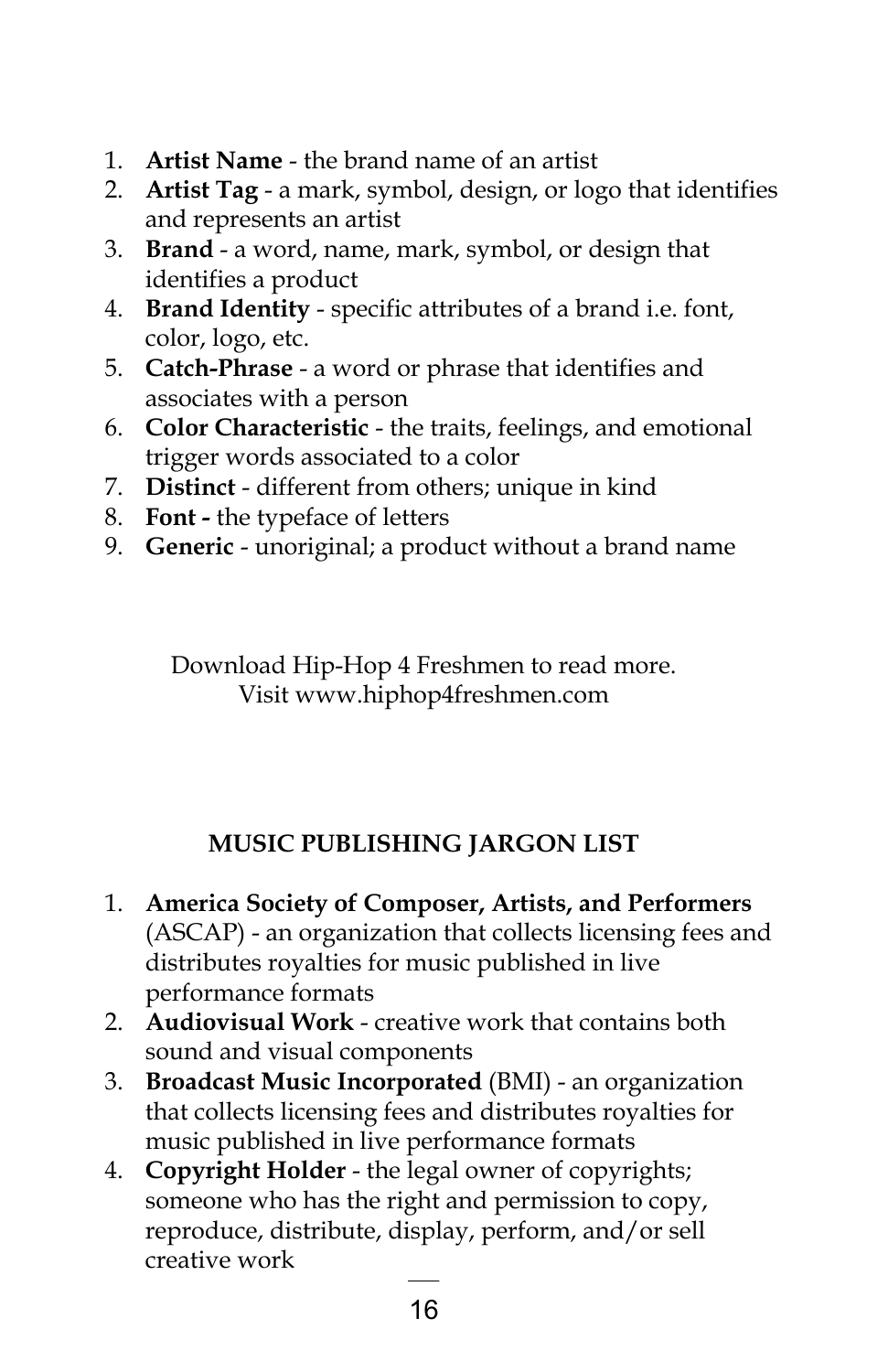- 1. **Artist Name** the brand name of an artist
- 2. **Artist Tag**  a mark, symbol, design, or logo that identifies and represents an artist
- 3. **Brand**  a word, name, mark, symbol, or design that identifies a product
- 4. **Brand Identity** specific attributes of a brand i.e. font, color, logo, etc.
- 5. **Catch-Phrase** a word or phrase that identifies and associates with a person
- 6. **Color Characteristic** the traits, feelings, and emotional trigger words associated to a color
- 7. **Distinct** different from others; unique in kind
- 8. **Font -** the typeface of letters
- 9. **Generic** unoriginal; a product without a brand name

Download Hip-Hop 4 Freshmen to read more. Visit www.hiphop4freshmen.com

### **MUSIC PUBLISHING JARGON LIST**

- 1. **America Society of Composer, Artists, and Performers**  (ASCAP) - an organization that collects licensing fees and distributes royalties for music published in live performance formats
- 2. **Audiovisual Work** creative work that contains both sound and visual components
- 3. **Broadcast Music Incorporated** (BMI) an organization that collects licensing fees and distributes royalties for music published in live performance formats
- 4. **Copyright Holder** the legal owner of copyrights; someone who has the right and permission to copy, reproduce, distribute, display, perform, and/or sell creative work